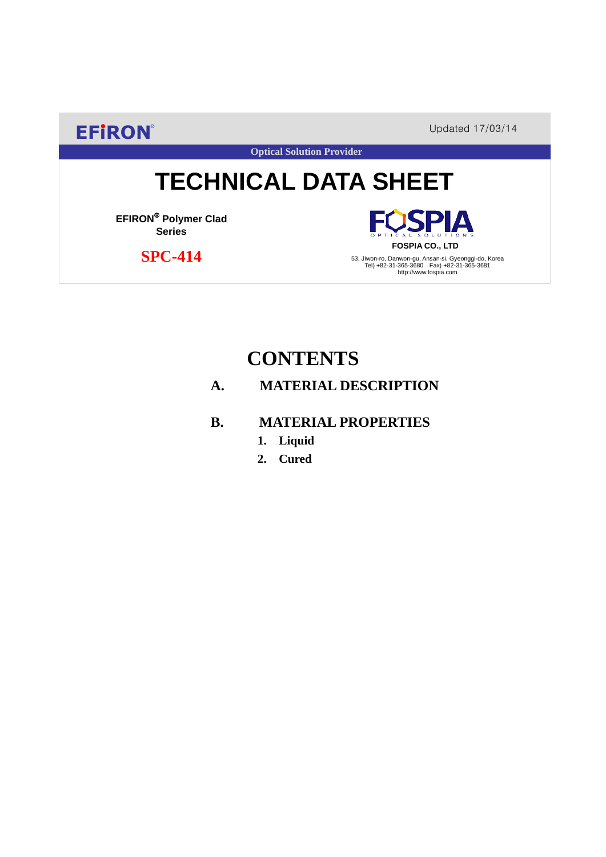**EFIRON®** Updated 17/03/14

**Optical Solution Provider**

# **TECHNICAL DATA SHEET**

**EFIRON**® **Polymer Clad Series**

 **SPC-414**

**SPIA FOSPIA CO., LTD**

53, Jiwon-ro, Danwon-gu, Ansan-si, Gyeonggi-do, Korea Tel) +82-31-365-3680 Fax) +82-31-365-3681 http://www.fospia.com

# **CONTENTS**

### **A. MATERIAL DESCRIPTION**

### **B. MATERIAL PROPERTIES**

- **1. Liquid**
- **2. Cured**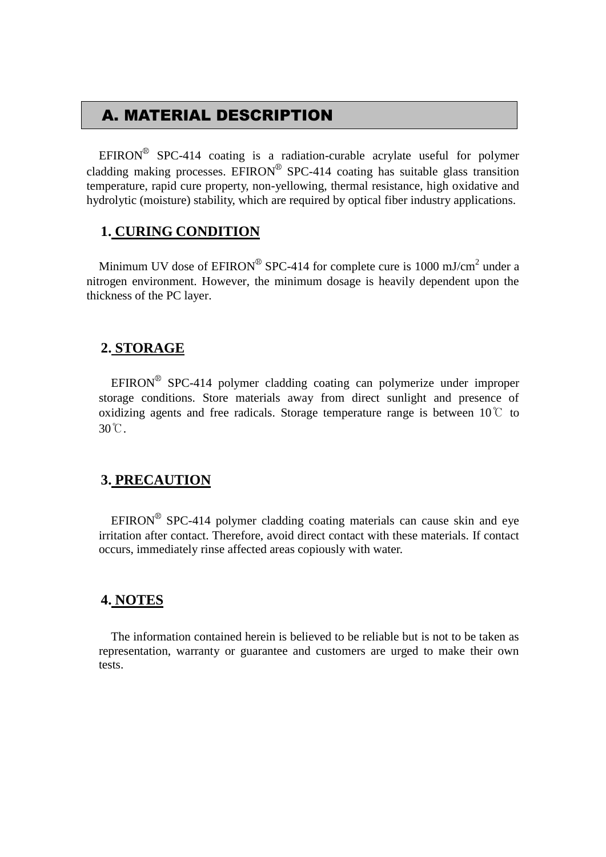### A. MATERIAL DESCRIPTION

EFIRON<sup>®</sup> SPC-414 coating is a radiation-curable acrylate useful for polymer cladding making processes. EFIRON<sup>®</sup> SPC-414 coating has suitable glass transition temperature, rapid cure property, non-yellowing, thermal resistance, high oxidative and hydrolytic (moisture) stability, which are required by optical fiber industry applications.

#### **1. CURING CONDITION**

Minimum UV dose of  $EPIRON^{\circledR}$  SPC-414 for complete cure is 1000 mJ/cm<sup>2</sup> under a nitrogen environment. However, the minimum dosage is heavily dependent upon the thickness of the PC layer.

#### **2. STORAGE**

 $EFINON^{\circledR}$  SPC-414 polymer cladding coating can polymerize under improper storage conditions. Store materials away from direct sunlight and presence of oxidizing agents and free radicals. Storage temperature range is between  $10^{\circ}$  to 30℃.

#### **3. PRECAUTION**

 $EFINON^{\circledR}$  SPC-414 polymer cladding coating materials can cause skin and eye irritation after contact. Therefore, avoid direct contact with these materials. If contact occurs, immediately rinse affected areas copiously with water.

#### **4. NOTES**

The information contained herein is believed to be reliable but is not to be taken as representation, warranty or guarantee and customers are urged to make their own tests.